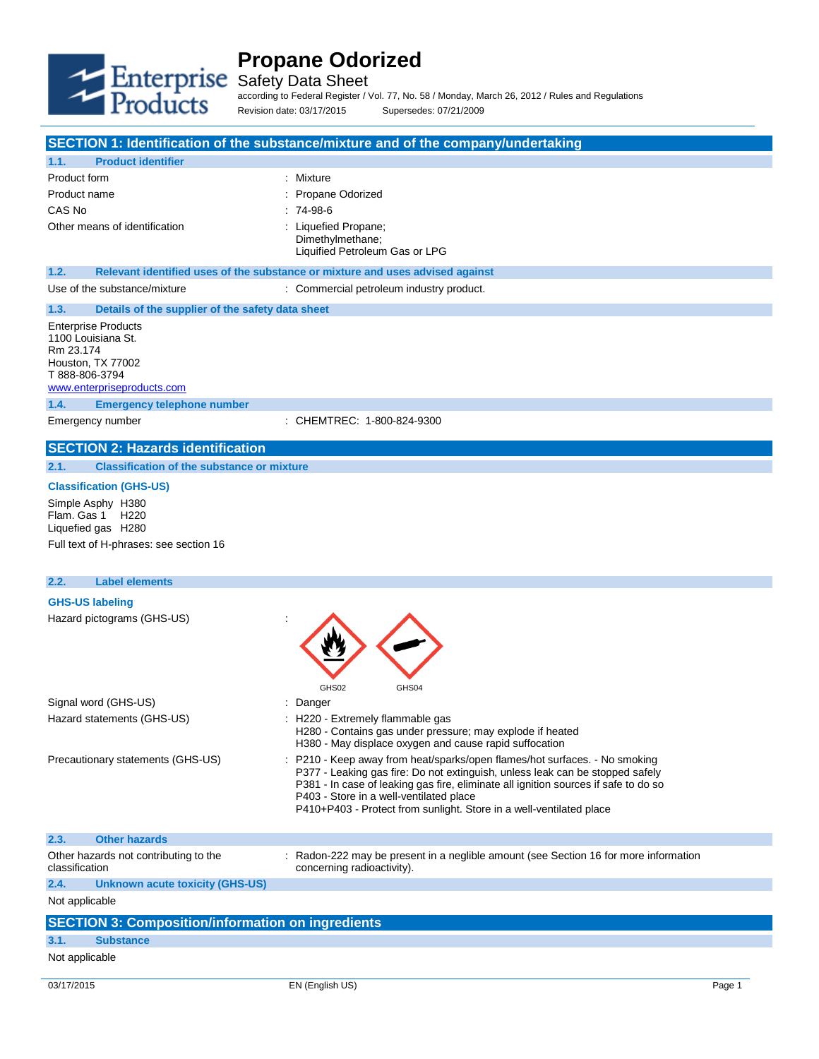

**1.1. Product identifier**

# **Propane Odorized**

Safety Data Sheet

according to Federal Register / Vol. 77, No. 58 / Monday, March 26, 2012 / Rules and Regulations Revision date: 03/17/2015 Supersedes: 07/21/2009

**SECTION 1: Identification of the substance/mixture and of the company/undertaking**

| Product form                                              | : Mixture                                                                                                           |  |
|-----------------------------------------------------------|---------------------------------------------------------------------------------------------------------------------|--|
| Product name                                              | Propane Odorized                                                                                                    |  |
| CAS No                                                    | $:74-98-6$                                                                                                          |  |
| Other means of identification                             | : Liquefied Propane;                                                                                                |  |
|                                                           | Dimethylmethane;                                                                                                    |  |
|                                                           | Liquified Petroleum Gas or LPG                                                                                      |  |
| 1.2.                                                      | Relevant identified uses of the substance or mixture and uses advised against                                       |  |
| Use of the substance/mixture                              | : Commercial petroleum industry product.                                                                            |  |
| 1.3.<br>Details of the supplier of the safety data sheet  |                                                                                                                     |  |
|                                                           |                                                                                                                     |  |
| <b>Enterprise Products</b><br>1100 Louisiana St.          |                                                                                                                     |  |
| Rm 23.174                                                 |                                                                                                                     |  |
| Houston, TX 77002                                         |                                                                                                                     |  |
| T 888-806-3794                                            |                                                                                                                     |  |
| www.enterpriseproducts.com                                |                                                                                                                     |  |
| 1.4.<br><b>Emergency telephone number</b>                 |                                                                                                                     |  |
| Emergency number                                          | CHEMTREC: 1-800-824-9300                                                                                            |  |
| <b>SECTION 2: Hazards identification</b>                  |                                                                                                                     |  |
| 2.1.<br><b>Classification of the substance or mixture</b> |                                                                                                                     |  |
| <b>Classification (GHS-US)</b>                            |                                                                                                                     |  |
| Simple Asphy H380                                         |                                                                                                                     |  |
| Flam. Gas 1<br>H <sub>220</sub>                           |                                                                                                                     |  |
| Liquefied gas H280                                        |                                                                                                                     |  |
| Full text of H-phrases: see section 16                    |                                                                                                                     |  |
|                                                           |                                                                                                                     |  |
| <b>Label elements</b>                                     |                                                                                                                     |  |
| 2.2.                                                      |                                                                                                                     |  |
| <b>GHS-US labeling</b>                                    |                                                                                                                     |  |
| Hazard pictograms (GHS-US)                                |                                                                                                                     |  |
|                                                           |                                                                                                                     |  |
|                                                           |                                                                                                                     |  |
|                                                           |                                                                                                                     |  |
|                                                           |                                                                                                                     |  |
|                                                           |                                                                                                                     |  |
|                                                           | GHS02<br>GHS04                                                                                                      |  |
| Signal word (GHS-US)                                      | : Danger                                                                                                            |  |
| Hazard statements (GHS-US)                                | : H220 - Extremely flammable gas                                                                                    |  |
|                                                           | H280 - Contains gas under pressure; may explode if heated<br>H380 - May displace oxygen and cause rapid suffocation |  |
| Precautionary statements (GHS-US)                         | P210 - Keep away from heat/sparks/open flames/hot surfaces. - No smoking                                            |  |
|                                                           | P377 - Leaking gas fire: Do not extinguish, unless leak can be stopped safely                                       |  |
|                                                           | P381 - In case of leaking gas fire, eliminate all ignition sources if safe to do so                                 |  |
|                                                           | P403 - Store in a well-ventilated place                                                                             |  |
|                                                           | P410+P403 - Protect from sunlight. Store in a well-ventilated place                                                 |  |
| <b>Other hazards</b><br>2.3.                              |                                                                                                                     |  |
| Other hazards not contributing to the                     |                                                                                                                     |  |
| classification                                            | : Radon-222 may be present in a neglible amount (see Section 16 for more information<br>concerning radioactivity).  |  |
| 2.4.<br><b>Unknown acute toxicity (GHS-US)</b>            |                                                                                                                     |  |
| Not applicable                                            |                                                                                                                     |  |
|                                                           |                                                                                                                     |  |
| <b>SECTION 3: Composition/information on ingredients</b>  |                                                                                                                     |  |
| 3.1.<br><b>Substance</b>                                  |                                                                                                                     |  |
| Not applicable                                            |                                                                                                                     |  |
| 03/17/2015                                                | EN (English US)<br>Page 1                                                                                           |  |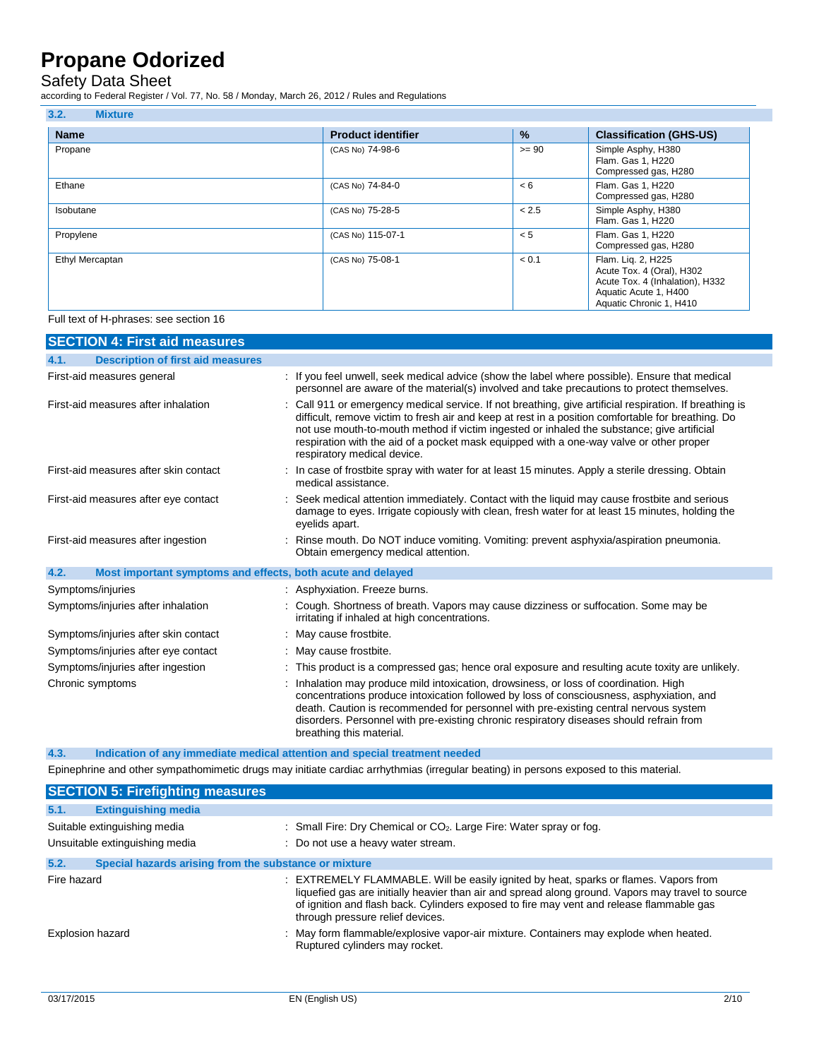## Safety Data Sheet

according to Federal Register / Vol. 77, No. 58 / Monday, March 26, 2012 / Rules and Regulations

| 3.2.<br><b>Mixture</b> |                           |               |                                                                                                                                        |
|------------------------|---------------------------|---------------|----------------------------------------------------------------------------------------------------------------------------------------|
| <b>Name</b>            | <b>Product identifier</b> | $\frac{9}{6}$ | <b>Classification (GHS-US)</b>                                                                                                         |
| Propane                | (CAS No) 74-98-6          | $>= 90$       | Simple Asphy, H380<br>Flam. Gas 1, H220<br>Compressed gas, H280                                                                        |
| Ethane                 | (CAS No) 74-84-0          | < 6           | Flam. Gas 1, H220<br>Compressed gas, H280                                                                                              |
| Isobutane              | (CAS No) 75-28-5          | < 2.5         | Simple Asphy, H380<br>Flam. Gas 1, H220                                                                                                |
| Propylene              | (CAS No) 115-07-1         | < 5           | Flam. Gas 1, H220<br>Compressed gas, H280                                                                                              |
| Ethyl Mercaptan        | (CAS No) 75-08-1          | < 0.1         | Flam. Liq. 2, H225<br>Acute Tox. 4 (Oral), H302<br>Acute Tox. 4 (Inhalation), H332<br>Aquatic Acute 1, H400<br>Aquatic Chronic 1, H410 |

Full text of H-phrases: see section 16

| <b>SECTION 4: First aid measures</b>                                |                                                                                                                                                                                                                                                                                                                                                                                                                                       |
|---------------------------------------------------------------------|---------------------------------------------------------------------------------------------------------------------------------------------------------------------------------------------------------------------------------------------------------------------------------------------------------------------------------------------------------------------------------------------------------------------------------------|
| 4.1.<br><b>Description of first aid measures</b>                    |                                                                                                                                                                                                                                                                                                                                                                                                                                       |
| First-aid measures general                                          | : If you feel unwell, seek medical advice (show the label where possible). Ensure that medical<br>personnel are aware of the material(s) involved and take precautions to protect themselves.                                                                                                                                                                                                                                         |
| First-aid measures after inhalation                                 | : Call 911 or emergency medical service. If not breathing, give artificial respiration. If breathing is<br>difficult, remove victim to fresh air and keep at rest in a position comfortable for breathing. Do<br>not use mouth-to-mouth method if victim ingested or inhaled the substance; give artificial<br>respiration with the aid of a pocket mask equipped with a one-way valve or other proper<br>respiratory medical device. |
| First-aid measures after skin contact                               | : In case of frostbite spray with water for at least 15 minutes. Apply a sterile dressing. Obtain<br>medical assistance.                                                                                                                                                                                                                                                                                                              |
| First-aid measures after eye contact                                | Seek medical attention immediately. Contact with the liquid may cause frostbite and serious<br>damage to eyes. Irrigate copiously with clean, fresh water for at least 15 minutes, holding the<br>eyelids apart.                                                                                                                                                                                                                      |
| First-aid measures after ingestion                                  | : Rinse mouth. Do NOT induce vomiting. Vomiting: prevent asphyxia/aspiration pneumonia.<br>Obtain emergency medical attention.                                                                                                                                                                                                                                                                                                        |
| 4.2.<br>Most important symptoms and effects, both acute and delayed |                                                                                                                                                                                                                                                                                                                                                                                                                                       |
| Symptoms/injuries                                                   | : Asphyxiation. Freeze burns.                                                                                                                                                                                                                                                                                                                                                                                                         |
| Symptoms/injuries after inhalation                                  | : Cough. Shortness of breath. Vapors may cause dizziness or suffocation. Some may be<br>irritating if inhaled at high concentrations.                                                                                                                                                                                                                                                                                                 |
| Symptoms/injuries after skin contact                                | : May cause frostbite.                                                                                                                                                                                                                                                                                                                                                                                                                |
| Symptoms/injuries after eye contact                                 | : May cause frostbite.                                                                                                                                                                                                                                                                                                                                                                                                                |
| Symptoms/injuries after ingestion                                   | : This product is a compressed gas; hence oral exposure and resulting acute toxity are unlikely.                                                                                                                                                                                                                                                                                                                                      |
| Chronic symptoms                                                    | : Inhalation may produce mild intoxication, drowsiness, or loss of coordination. High<br>concentrations produce intoxication followed by loss of consciousness, asphyxiation, and<br>death. Caution is recommended for personnel with pre-existing central nervous system<br>disorders. Personnel with pre-existing chronic respiratory diseases should refrain from<br>breathing this material.                                      |

**4.3. Indication of any immediate medical attention and special treatment needed**

Epinephrine and other sympathomimetic drugs may initiate cardiac arrhythmias (irregular beating) in persons exposed to this material.

|                  | <b>SECTION 5: Firefighting measures</b>               |                                                                                                                                                                                                                                                                                                                           |
|------------------|-------------------------------------------------------|---------------------------------------------------------------------------------------------------------------------------------------------------------------------------------------------------------------------------------------------------------------------------------------------------------------------------|
| 5.1.             | <b>Extinguishing media</b>                            |                                                                                                                                                                                                                                                                                                                           |
|                  | Suitable extinguishing media                          | : Small Fire: Dry Chemical or $CO2$ . Large Fire: Water spray or fog.                                                                                                                                                                                                                                                     |
|                  | Unsuitable extinguishing media                        | : Do not use a heavy water stream.                                                                                                                                                                                                                                                                                        |
| 5.2.             | Special hazards arising from the substance or mixture |                                                                                                                                                                                                                                                                                                                           |
| Fire hazard      |                                                       | : EXTREMELY FLAMMABLE. Will be easily ignited by heat, sparks or flames. Vapors from<br>liquefied gas are initially heavier than air and spread along ground. Vapors may travel to source<br>of ignition and flash back. Cylinders exposed to fire may vent and release flammable gas<br>through pressure relief devices. |
| Explosion hazard |                                                       | : May form flammable/explosive vapor-air mixture. Containers may explode when heated.<br>Ruptured cylinders may rocket.                                                                                                                                                                                                   |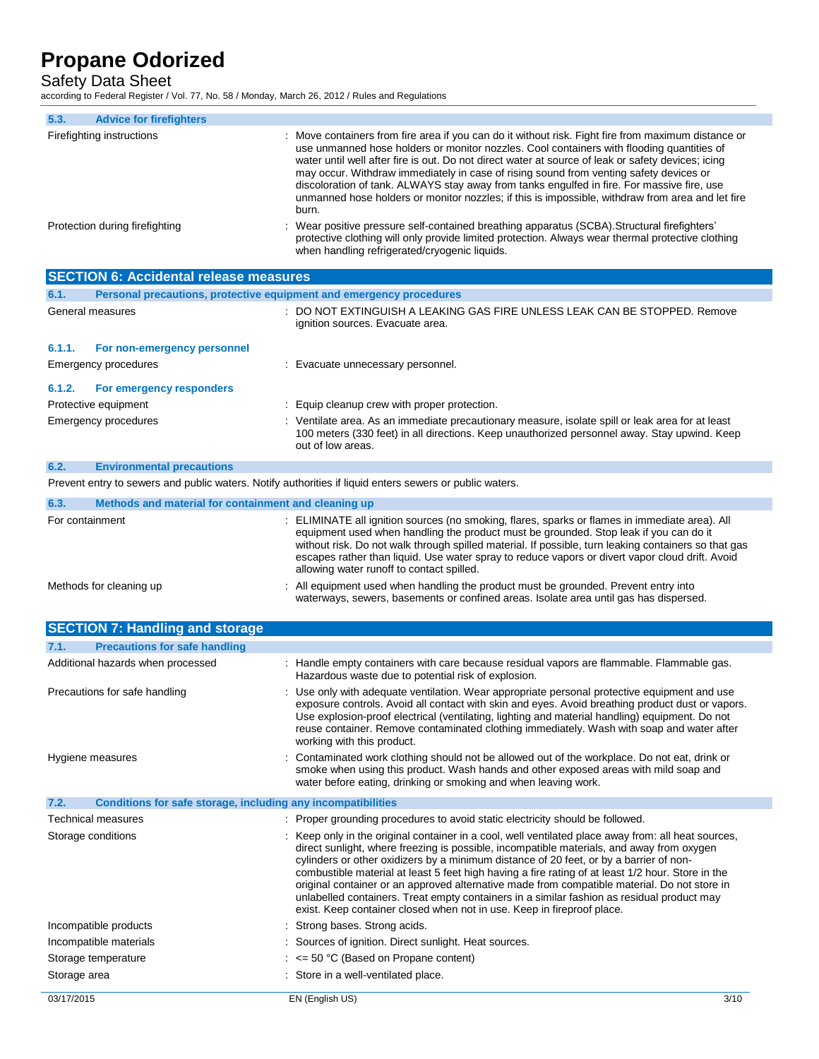Safety Data Sheet

according to Federal Register / Vol. 77, No. 58 / Monday, March 26, 2012 / Rules and Regulations

| 5.3.<br><b>Advice for firefighters</b>                                                                  |                                                                                                                                                                                                                                                                                                                                                                                                                                                                                                                                                                                                                                                                       |
|---------------------------------------------------------------------------------------------------------|-----------------------------------------------------------------------------------------------------------------------------------------------------------------------------------------------------------------------------------------------------------------------------------------------------------------------------------------------------------------------------------------------------------------------------------------------------------------------------------------------------------------------------------------------------------------------------------------------------------------------------------------------------------------------|
| Firefighting instructions                                                                               | Move containers from fire area if you can do it without risk. Fight fire from maximum distance or<br>use unmanned hose holders or monitor nozzles. Cool containers with flooding quantities of<br>water until well after fire is out. Do not direct water at source of leak or safety devices; icing<br>may occur. Withdraw immediately in case of rising sound from venting safety devices or<br>discoloration of tank. ALWAYS stay away from tanks engulfed in fire. For massive fire, use<br>unmanned hose holders or monitor nozzles; if this is impossible, withdraw from area and let fire<br>burn.                                                             |
| Protection during firefighting                                                                          | Wear positive pressure self-contained breathing apparatus (SCBA). Structural firefighters'<br>protective clothing will only provide limited protection. Always wear thermal protective clothing<br>when handling refrigerated/cryogenic liquids.                                                                                                                                                                                                                                                                                                                                                                                                                      |
| <b>SECTION 6: Accidental release measures</b>                                                           |                                                                                                                                                                                                                                                                                                                                                                                                                                                                                                                                                                                                                                                                       |
| Personal precautions, protective equipment and emergency procedures<br>6.1.                             |                                                                                                                                                                                                                                                                                                                                                                                                                                                                                                                                                                                                                                                                       |
| General measures                                                                                        | : DO NOT EXTINGUISH A LEAKING GAS FIRE UNLESS LEAK CAN BE STOPPED. Remove<br>ignition sources. Evacuate area.                                                                                                                                                                                                                                                                                                                                                                                                                                                                                                                                                         |
| 6.1.1.<br>For non-emergency personnel                                                                   |                                                                                                                                                                                                                                                                                                                                                                                                                                                                                                                                                                                                                                                                       |
| Emergency procedures                                                                                    | : Evacuate unnecessary personnel.                                                                                                                                                                                                                                                                                                                                                                                                                                                                                                                                                                                                                                     |
| 6.1.2.<br>For emergency responders                                                                      |                                                                                                                                                                                                                                                                                                                                                                                                                                                                                                                                                                                                                                                                       |
| Protective equipment                                                                                    | Equip cleanup crew with proper protection.                                                                                                                                                                                                                                                                                                                                                                                                                                                                                                                                                                                                                            |
| Emergency procedures                                                                                    | : Ventilate area. As an immediate precautionary measure, isolate spill or leak area for at least<br>100 meters (330 feet) in all directions. Keep unauthorized personnel away. Stay upwind. Keep<br>out of low areas.                                                                                                                                                                                                                                                                                                                                                                                                                                                 |
| 6.2.<br><b>Environmental precautions</b>                                                                |                                                                                                                                                                                                                                                                                                                                                                                                                                                                                                                                                                                                                                                                       |
| Prevent entry to sewers and public waters. Notify authorities if liquid enters sewers or public waters. |                                                                                                                                                                                                                                                                                                                                                                                                                                                                                                                                                                                                                                                                       |
| 6.3.<br>Methods and material for containment and cleaning up                                            |                                                                                                                                                                                                                                                                                                                                                                                                                                                                                                                                                                                                                                                                       |
| For containment                                                                                         | ELIMINATE all ignition sources (no smoking, flares, sparks or flames in immediate area). All<br>equipment used when handling the product must be grounded. Stop leak if you can do it<br>without risk. Do not walk through spilled material. If possible, turn leaking containers so that gas<br>escapes rather than liquid. Use water spray to reduce vapors or divert vapor cloud drift. Avoid<br>allowing water runoff to contact spilled.                                                                                                                                                                                                                         |
| Methods for cleaning up                                                                                 | All equipment used when handling the product must be grounded. Prevent entry into<br>waterways, sewers, basements or confined areas. Isolate area until gas has dispersed.                                                                                                                                                                                                                                                                                                                                                                                                                                                                                            |
| <b>SECTION 7: Handling and storage</b>                                                                  |                                                                                                                                                                                                                                                                                                                                                                                                                                                                                                                                                                                                                                                                       |
| <b>Precautions for safe handling</b><br>7.1.                                                            |                                                                                                                                                                                                                                                                                                                                                                                                                                                                                                                                                                                                                                                                       |
| Additional hazards when processed                                                                       | : Handle empty containers with care because residual vapors are flammable. Flammable gas.<br>Hazardous waste due to potential risk of explosion.                                                                                                                                                                                                                                                                                                                                                                                                                                                                                                                      |
| Precautions for safe handling                                                                           | : Use only with adequate ventilation. Wear appropriate personal protective equipment and use<br>exposure controls. Avoid all contact with skin and eyes. Avoid breathing product dust or vapors.<br>Use explosion-proof electrical (ventilating, lighting and material handling) equipment. Do not<br>reuse container. Remove contaminated clothing immediately. Wash with soap and water after<br>working with this product.                                                                                                                                                                                                                                         |
| Hygiene measures                                                                                        | Contaminated work clothing should not be allowed out of the workplace. Do not eat, drink or<br>smoke when using this product. Wash hands and other exposed areas with mild soap and<br>water before eating, drinking or smoking and when leaving work.                                                                                                                                                                                                                                                                                                                                                                                                                |
| 7.2.<br><b>Conditions for safe storage, including any incompatibilities</b>                             |                                                                                                                                                                                                                                                                                                                                                                                                                                                                                                                                                                                                                                                                       |
| <b>Technical measures</b>                                                                               | : Proper grounding procedures to avoid static electricity should be followed.                                                                                                                                                                                                                                                                                                                                                                                                                                                                                                                                                                                         |
| Storage conditions                                                                                      | Keep only in the original container in a cool, well ventilated place away from: all heat sources,<br>direct sunlight, where freezing is possible, incompatible materials, and away from oxygen<br>cylinders or other oxidizers by a minimum distance of 20 feet, or by a barrier of non-<br>combustible material at least 5 feet high having a fire rating of at least 1/2 hour. Store in the<br>original container or an approved alternative made from compatible material. Do not store in<br>unlabelled containers. Treat empty containers in a similar fashion as residual product may<br>exist. Keep container closed when not in use. Keep in fireproof place. |
| Incompatible products                                                                                   | Strong bases. Strong acids.                                                                                                                                                                                                                                                                                                                                                                                                                                                                                                                                                                                                                                           |
| Incompatible materials                                                                                  | Sources of ignition. Direct sunlight. Heat sources.                                                                                                                                                                                                                                                                                                                                                                                                                                                                                                                                                                                                                   |
| Storage temperature                                                                                     | $:$ <= 50 °C (Based on Propane content)                                                                                                                                                                                                                                                                                                                                                                                                                                                                                                                                                                                                                               |
| Storage area                                                                                            | : Store in a well-ventilated place.                                                                                                                                                                                                                                                                                                                                                                                                                                                                                                                                                                                                                                   |
| 03/17/2015                                                                                              | EN (English US)<br>3/10                                                                                                                                                                                                                                                                                                                                                                                                                                                                                                                                                                                                                                               |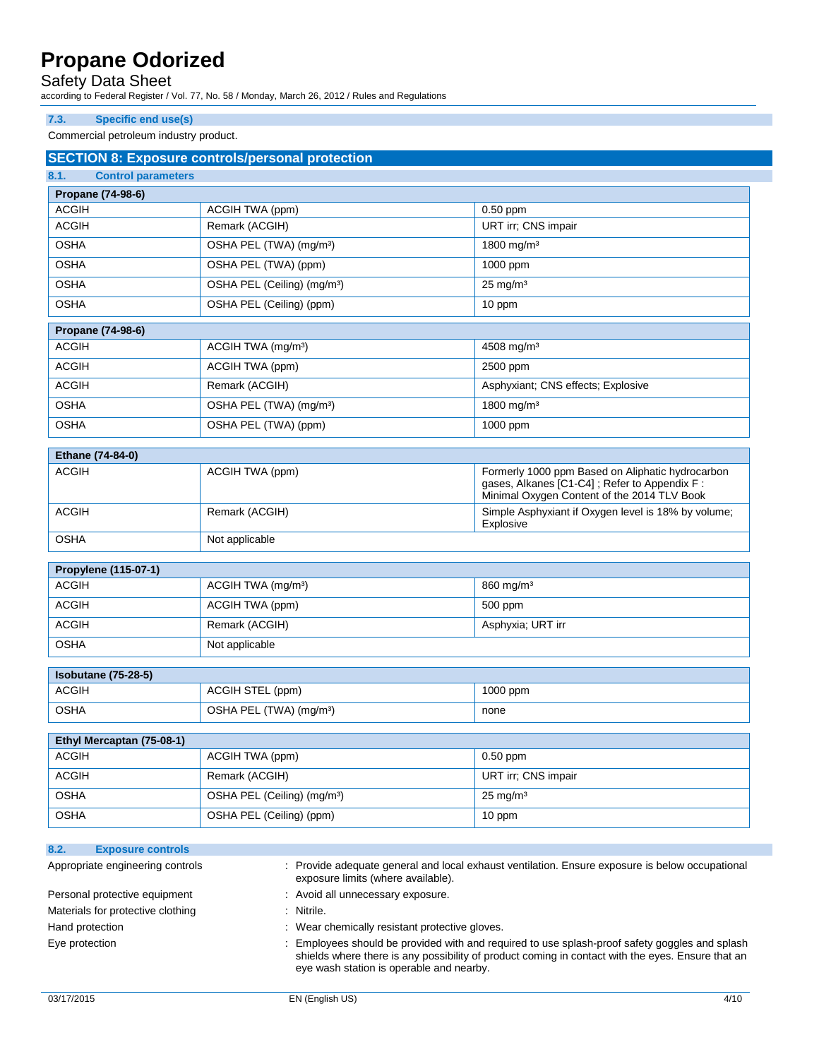## Safety Data Sheet

according to Federal Register / Vol. 77, No. 58 / Monday, March 26, 2012 / Rules and Regulations

### **7.3. Specific end use(s)**

Commercial petroleum industry product.

| <b>Control parameters</b><br>8.1.                   | <b>SECTION 8: Exposure controls/personal protection</b> |                                                                                                                                                 |
|-----------------------------------------------------|---------------------------------------------------------|-------------------------------------------------------------------------------------------------------------------------------------------------|
| Propane (74-98-6)                                   |                                                         |                                                                                                                                                 |
| <b>ACGIH</b>                                        | ACGIH TWA (ppm)                                         | $0.50$ ppm                                                                                                                                      |
| <b>ACGIH</b>                                        | Remark (ACGIH)                                          | URT irr; CNS impair                                                                                                                             |
| <b>OSHA</b>                                         | OSHA PEL (TWA) (mg/m <sup>3</sup> )                     | 1800 mg/m <sup>3</sup>                                                                                                                          |
| <b>OSHA</b>                                         | OSHA PEL (TWA) (ppm)                                    | 1000 ppm                                                                                                                                        |
| <b>OSHA</b>                                         | OSHA PEL (Ceiling) (mg/m <sup>3</sup> )                 | $25 \text{ mg/m}^3$                                                                                                                             |
| <b>OSHA</b>                                         | OSHA PEL (Ceiling) (ppm)                                | 10 ppm                                                                                                                                          |
|                                                     |                                                         |                                                                                                                                                 |
| Propane (74-98-6)                                   |                                                         |                                                                                                                                                 |
| <b>ACGIH</b>                                        | ACGIH TWA (mg/m <sup>3</sup> )                          | 4508 mg/m <sup>3</sup>                                                                                                                          |
| <b>ACGIH</b>                                        | ACGIH TWA (ppm)                                         | 2500 ppm                                                                                                                                        |
| <b>ACGIH</b>                                        | Remark (ACGIH)                                          | Asphyxiant; CNS effects; Explosive                                                                                                              |
| <b>OSHA</b>                                         | OSHA PEL (TWA) (mg/m <sup>3</sup> )                     | 1800 mg/m <sup>3</sup>                                                                                                                          |
| <b>OSHA</b>                                         | OSHA PEL (TWA) (ppm)                                    | 1000 ppm                                                                                                                                        |
| Ethane (74-84-0)                                    |                                                         |                                                                                                                                                 |
| <b>ACGIH</b>                                        | ACGIH TWA (ppm)                                         | Formerly 1000 ppm Based on Aliphatic hydrocarbon<br>gases, Alkanes [C1-C4]; Refer to Appendix F:<br>Minimal Oxygen Content of the 2014 TLV Book |
| <b>ACGIH</b>                                        | Remark (ACGIH)                                          | Simple Asphyxiant if Oxygen level is 18% by volume;<br>Explosive                                                                                |
| <b>OSHA</b>                                         | Not applicable                                          |                                                                                                                                                 |
| Propylene (115-07-1)                                |                                                         |                                                                                                                                                 |
| <b>ACGIH</b>                                        | ACGIH TWA (mg/m <sup>3</sup> )                          | $860$ mg/m <sup>3</sup>                                                                                                                         |
| <b>ACGIH</b>                                        | ACGIH TWA (ppm)                                         | 500 ppm                                                                                                                                         |
| <b>ACGIH</b><br>Remark (ACGIH)<br>Asphyxia; URT irr |                                                         |                                                                                                                                                 |
| <b>OSHA</b>                                         | Not applicable                                          |                                                                                                                                                 |
| <b>Isobutane (75-28-5)</b>                          |                                                         |                                                                                                                                                 |
| <b>ACGIH</b>                                        | ACGIH STEL (ppm)                                        | 1000 ppm                                                                                                                                        |
| <b>OSHA</b>                                         | OSHA PEL (TWA) (mg/m <sup>3</sup> )                     | none                                                                                                                                            |
|                                                     |                                                         |                                                                                                                                                 |
| Ethyl Mercaptan (75-08-1)                           |                                                         |                                                                                                                                                 |
| <b>ACGIH</b>                                        | <b>ACGIH TWA (ppm)</b>                                  | 0.50 ppm                                                                                                                                        |
| <b>ACGIH</b>                                        | Remark (ACGIH)                                          | URT irr; CNS impair                                                                                                                             |
|                                                     | OSHA PEL (Ceiling) (mg/m <sup>3</sup> )                 | $25 \text{ mg/m}^3$                                                                                                                             |
| <b>OSHA</b>                                         |                                                         |                                                                                                                                                 |

| 8.2.<br><b>EXPOSURE CONTROIS</b>  |                                                                                                                                     |
|-----------------------------------|-------------------------------------------------------------------------------------------------------------------------------------|
| Appropriate engineering controls  | Provide adequate general and local exhaust ventilation. Ensure exposure is below occupational<br>exposure limits (where available). |
| Personal protective equipment     | : Avoid all unnecessary exposure.                                                                                                   |
| Materials for protective clothing | Nitrile.                                                                                                                            |
| Hand protection                   | Wear chemically resistant protective gloves.                                                                                        |
| Eye protection                    | Employees should be provided with and required to use splash-proof safety goggles and splash                                        |

eye wash station is operable and nearby.

shields where there is any possibility of product coming in contact with the eyes. Ensure that an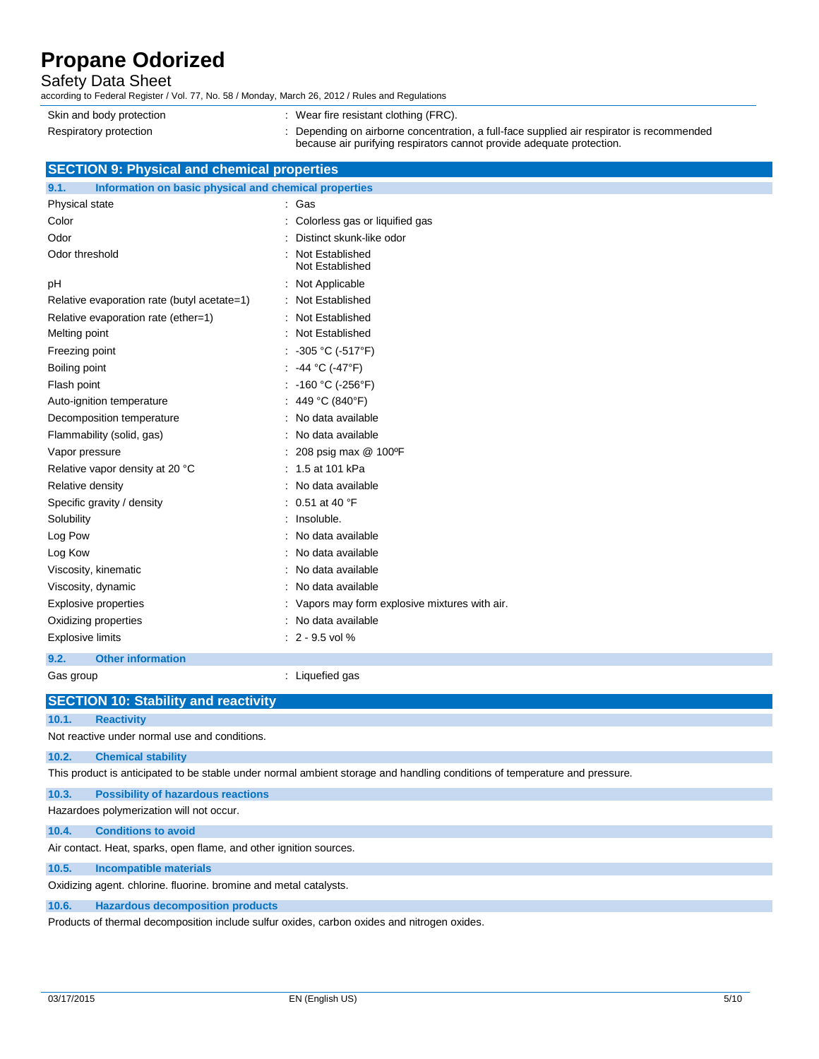## Safety Data Sheet

according to Federal Register / Vol. 77, No. 58 / Monday, March 26, 2012 / Rules and Regulations

| Skin and body protection | $\therefore$ Wear fire resistant clothing (FRC).                                        |
|--------------------------|-----------------------------------------------------------------------------------------|
| Respiratory protection   | Depending on airborne concentration, a full-face supplied air respirator is recommended |
|                          | because air purifying respirators cannot provide adequate protection.                   |

## **SECTION 9: Physical and chemical properties**

| 9.1.<br>Information on basic physical and chemical properties |                                                |  |
|---------------------------------------------------------------|------------------------------------------------|--|
| Physical state                                                | : Gas                                          |  |
| Color                                                         | : Colorless gas or liquified gas               |  |
| Odor                                                          | Distinct skunk-like odor                       |  |
| Odor threshold                                                | Not Established<br>Not Established             |  |
| pH                                                            | : Not Applicable                               |  |
| Relative evaporation rate (butyl acetate=1)                   | : Not Established                              |  |
| Relative evaporation rate (ether=1)                           | : Not Established                              |  |
| Melting point                                                 | : Not Established                              |  |
| Freezing point                                                | : -305 °C (-517°F)                             |  |
| Boiling point                                                 | -44 °C (-47°F)                                 |  |
| Flash point                                                   | : -160 °C (-256°F)                             |  |
| Auto-ignition temperature                                     | : 449 °C (840°F)                               |  |
| Decomposition temperature                                     | : No data available                            |  |
| Flammability (solid, gas)                                     | : No data available                            |  |
| Vapor pressure                                                | 208 psig max @ 100°F                           |  |
| Relative vapor density at 20 °C                               | : 1.5 at 101 kPa                               |  |
| Relative density                                              | : No data available                            |  |
| Specific gravity / density                                    | : $0.51$ at 40 °F                              |  |
| Solubility                                                    | : Insoluble.                                   |  |
| Log Pow                                                       | : No data available                            |  |
| Log Kow                                                       | No data available                              |  |
| Viscosity, kinematic                                          | No data available                              |  |
| Viscosity, dynamic                                            | No data available                              |  |
| Explosive properties                                          | : Vapors may form explosive mixtures with air. |  |
| Oxidizing properties                                          | : No data available                            |  |
| <b>Explosive limits</b>                                       | $: 2 - 9.5$ vol %                              |  |
| 9.2.<br><b>Other information</b>                              |                                                |  |
| Gas group                                                     | : Liquefied gas                                |  |

**SECTION 10: Stability and reactivity**

### **10.1. Reactivity**

Not reactive under normal use and conditions.

**10.2. Chemical stability**

This product is anticipated to be stable under normal ambient storage and handling conditions of temperature and pressure.

**10.3. Possibility of hazardous reactions**

Hazardoes polymerization will not occur.

**10.4. Conditions to avoid**

Air contact. Heat, sparks, open flame, and other ignition sources.

### **10.5. Incompatible materials**

Oxidizing agent. chlorine. fluorine. bromine and metal catalysts.

### **10.6. Hazardous decomposition products**

Products of thermal decomposition include sulfur oxides, carbon oxides and nitrogen oxides.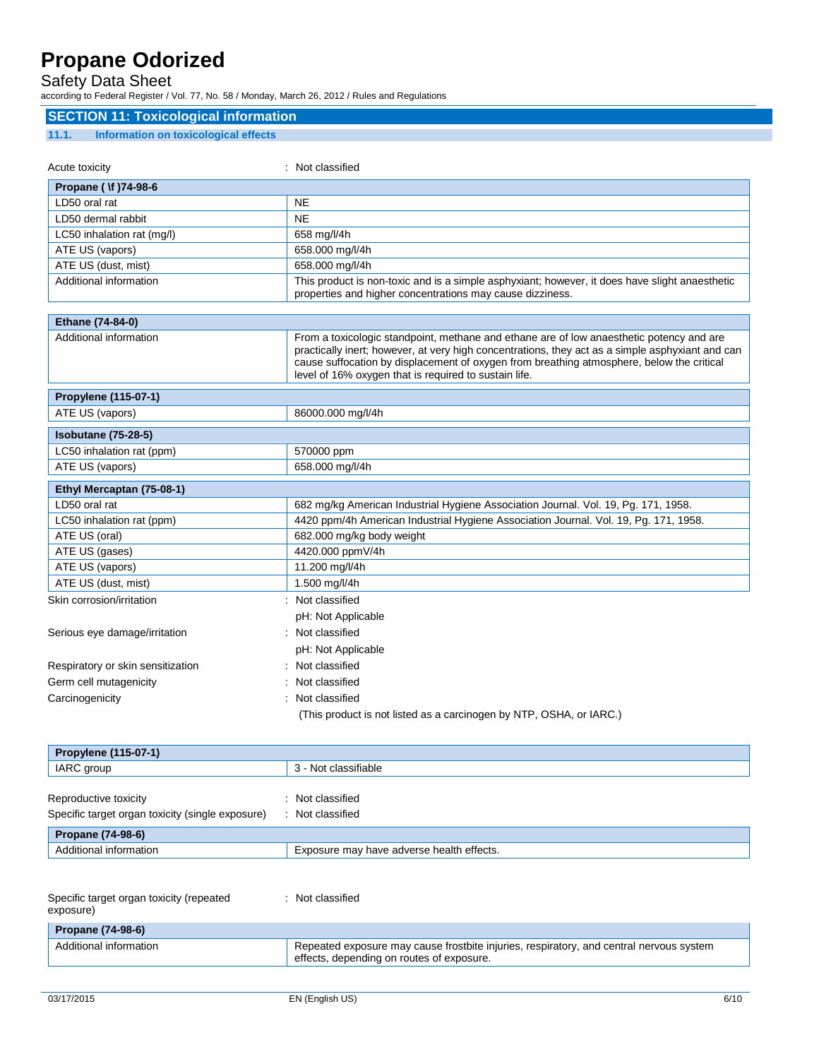## Safety Data Sheet

according to Federal Register / Vol. 77, No. 58 / Monday, March 26, 2012 / Rules and Regulations

| <b>SECTION 11: Toxicological information</b>         |                                                                                                                                                                                                                                                                                                                                                    |
|------------------------------------------------------|----------------------------------------------------------------------------------------------------------------------------------------------------------------------------------------------------------------------------------------------------------------------------------------------------------------------------------------------------|
| <b>Information on toxicological effects</b><br>11.1. |                                                                                                                                                                                                                                                                                                                                                    |
| Acute toxicity                                       | : Not classified                                                                                                                                                                                                                                                                                                                                   |
|                                                      |                                                                                                                                                                                                                                                                                                                                                    |
| Propane ( \f )74-98-6                                |                                                                                                                                                                                                                                                                                                                                                    |
| LD50 oral rat                                        | <b>NE</b>                                                                                                                                                                                                                                                                                                                                          |
| LD50 dermal rabbit                                   | <b>NE</b>                                                                                                                                                                                                                                                                                                                                          |
| LC50 inhalation rat (mg/l)                           | 658 mg/l/4h                                                                                                                                                                                                                                                                                                                                        |
| ATE US (vapors)                                      | 658.000 mg/l/4h                                                                                                                                                                                                                                                                                                                                    |
| ATE US (dust, mist)                                  | 658.000 mg/l/4h                                                                                                                                                                                                                                                                                                                                    |
| Additional information                               | This product is non-toxic and is a simple asphyxiant; however, it does have slight anaesthetic<br>properties and higher concentrations may cause dizziness.                                                                                                                                                                                        |
| Ethane (74-84-0)                                     |                                                                                                                                                                                                                                                                                                                                                    |
| Additional information                               | From a toxicologic standpoint, methane and ethane are of low anaesthetic potency and are<br>practically inert; however, at very high concentrations, they act as a simple asphyxiant and can<br>cause suffocation by displacement of oxygen from breathing atmosphere, below the critical<br>level of 16% oxygen that is required to sustain life. |
| Propylene (115-07-1)                                 |                                                                                                                                                                                                                                                                                                                                                    |
| ATE US (vapors)                                      | 86000.000 mg/l/4h                                                                                                                                                                                                                                                                                                                                  |
| <b>Isobutane (75-28-5)</b>                           |                                                                                                                                                                                                                                                                                                                                                    |
| LC50 inhalation rat (ppm)                            | 570000 ppm                                                                                                                                                                                                                                                                                                                                         |
| ATE US (vapors)                                      | 658.000 mg/l/4h                                                                                                                                                                                                                                                                                                                                    |
| Ethyl Mercaptan (75-08-1)                            |                                                                                                                                                                                                                                                                                                                                                    |
| LD50 oral rat                                        | 682 mg/kg American Industrial Hygiene Association Journal. Vol. 19, Pg. 171, 1958.                                                                                                                                                                                                                                                                 |
| LC50 inhalation rat (ppm)                            | 4420 ppm/4h American Industrial Hygiene Association Journal. Vol. 19, Pg. 171, 1958.                                                                                                                                                                                                                                                               |
| ATE US (oral)                                        | 682.000 mg/kg body weight                                                                                                                                                                                                                                                                                                                          |
| ATE US (gases)                                       | 4420.000 ppmV/4h                                                                                                                                                                                                                                                                                                                                   |
| ATE US (vapors)                                      | 11.200 mg/l/4h                                                                                                                                                                                                                                                                                                                                     |
| ATE US (dust, mist)                                  | 1.500 mg/l/4h                                                                                                                                                                                                                                                                                                                                      |
| Skin corrosion/irritation                            | : Not classified                                                                                                                                                                                                                                                                                                                                   |
|                                                      | pH: Not Applicable                                                                                                                                                                                                                                                                                                                                 |
| Serious eye damage/irritation                        | : Not classified                                                                                                                                                                                                                                                                                                                                   |
|                                                      | pH: Not Applicable                                                                                                                                                                                                                                                                                                                                 |
| Respiratory or skin sensitization                    | : Not classified                                                                                                                                                                                                                                                                                                                                   |
| Germ cell mutagenicity                               | Not classified                                                                                                                                                                                                                                                                                                                                     |
| Carcinogenicity                                      | : Not classified                                                                                                                                                                                                                                                                                                                                   |
|                                                      |                                                                                                                                                                                                                                                                                                                                                    |

| (This product is not listed as a carcinogen by NTP, OSHA, or IARC.) |  |  |
|---------------------------------------------------------------------|--|--|
|---------------------------------------------------------------------|--|--|

| Propylene (115-07-1)                             |                                           |
|--------------------------------------------------|-------------------------------------------|
| IARC group                                       | 3 - Not classifiable                      |
|                                                  |                                           |
| Reproductive toxicity                            | Not classified                            |
| Specific target organ toxicity (single exposure) | Not classified                            |
| Propane (74-98-6)                                |                                           |
| Additional information                           | Exposure may have adverse health effects. |

| Specific target organ toxicity (repeated<br>exposure) | Not classified                                                                                                                       |
|-------------------------------------------------------|--------------------------------------------------------------------------------------------------------------------------------------|
| Propane (74-98-6)                                     |                                                                                                                                      |
| Additional information                                | Repeated exposure may cause frostbite injuries, respiratory, and central nervous system<br>effects, depending on routes of exposure. |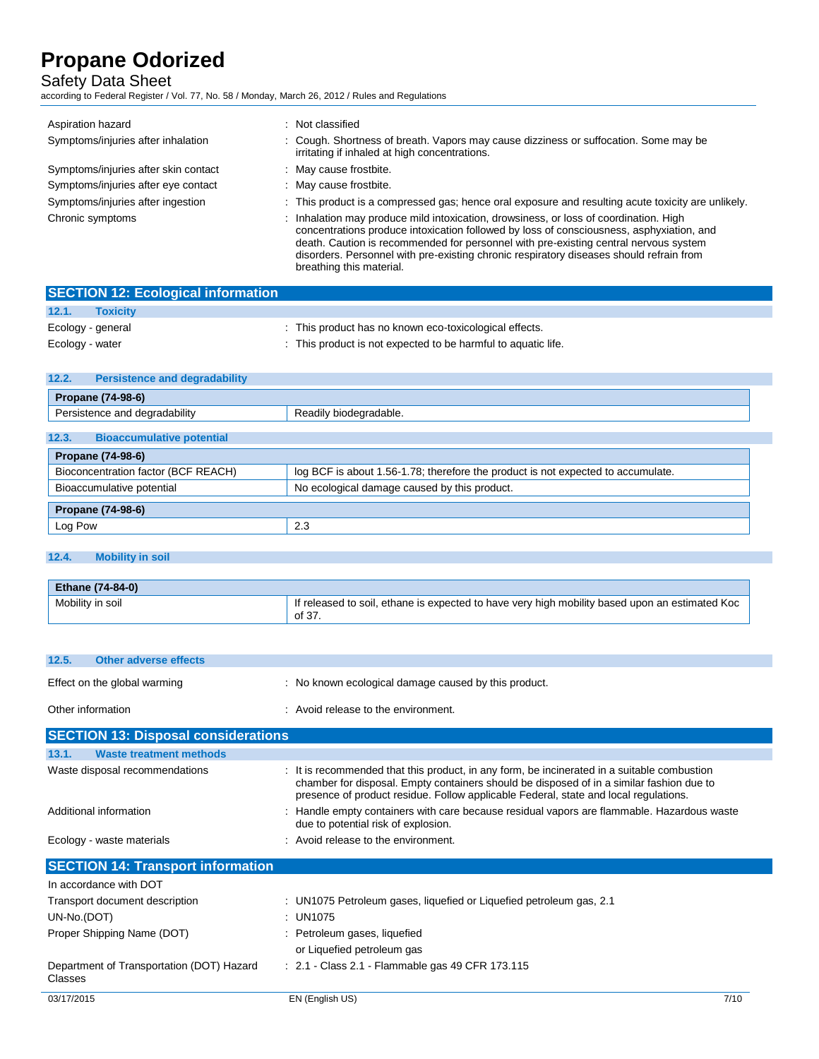## Safety Data Sheet

according to Federal Register / Vol. 77, No. 58 / Monday, March 26, 2012 / Rules and Regulations

| Aspiration hazard                    | : Not classified                                                                                                                                                                                                                                                                                                                                                                                 |
|--------------------------------------|--------------------------------------------------------------------------------------------------------------------------------------------------------------------------------------------------------------------------------------------------------------------------------------------------------------------------------------------------------------------------------------------------|
| Symptoms/injuries after inhalation   | : Cough. Shortness of breath. Vapors may cause dizziness or suffocation. Some may be<br>irritating if inhaled at high concentrations.                                                                                                                                                                                                                                                            |
| Symptoms/injuries after skin contact | : May cause frostbite.                                                                                                                                                                                                                                                                                                                                                                           |
| Symptoms/injuries after eye contact  | : May cause frostbite.                                                                                                                                                                                                                                                                                                                                                                           |
| Symptoms/injuries after ingestion    | : This product is a compressed gas; hence oral exposure and resulting acute toxicity are unlikely.                                                                                                                                                                                                                                                                                               |
| Chronic symptoms                     | : Inhalation may produce mild intoxication, drowsiness, or loss of coordination. High<br>concentrations produce intoxication followed by loss of consciousness, asphyxiation, and<br>death. Caution is recommended for personnel with pre-existing central nervous system<br>disorders. Personnel with pre-existing chronic respiratory diseases should refrain from<br>breathing this material. |

|                   | <b>SECTION 12: Ecological information</b> |                                                             |
|-------------------|-------------------------------------------|-------------------------------------------------------------|
| 12.1.             | <b>Toxicity</b>                           |                                                             |
| Ecology - general |                                           | : This product has no known eco-toxicological effects.      |
| Ecology - water   |                                           | This product is not expected to be harmful to aquatic life. |

| 12.2.<br><b>Persistence and degradability</b>                                                                           |                                              |  |
|-------------------------------------------------------------------------------------------------------------------------|----------------------------------------------|--|
| Propane (74-98-6)                                                                                                       |                                              |  |
| Persistence and degradability<br>Readily biodegradable.                                                                 |                                              |  |
| 12.3.<br><b>Bioaccumulative potential</b>                                                                               |                                              |  |
| Propane (74-98-6)                                                                                                       |                                              |  |
| Bioconcentration factor (BCF REACH)<br>log BCF is about 1.56-1.78; therefore the product is not expected to accumulate. |                                              |  |
| Bioaccumulative potential                                                                                               | No ecological damage caused by this product. |  |
| Propane (74-98-6)                                                                                                       |                                              |  |
| Log Pow                                                                                                                 | 2.3                                          |  |

## **12.4. Mobility in soil**

| <b>Ethane (74-84-0)</b> |                                                                                                          |
|-------------------------|----------------------------------------------------------------------------------------------------------|
| Mobility in soil        | If released to soil, ethane is expected to have very high mobility based upon an estimated Koc<br>of 37. |

| 12.5.<br>Other adverse effects                             |                                                                                                                                                                                                                                                                                 |      |  |
|------------------------------------------------------------|---------------------------------------------------------------------------------------------------------------------------------------------------------------------------------------------------------------------------------------------------------------------------------|------|--|
| Effect on the global warming                               | : No known ecological damage caused by this product.                                                                                                                                                                                                                            |      |  |
| Other information                                          | Avoid release to the environment.                                                                                                                                                                                                                                               |      |  |
| <b>SECTION 13: Disposal considerations</b>                 |                                                                                                                                                                                                                                                                                 |      |  |
| 13.1.<br><b>Waste treatment methods</b>                    |                                                                                                                                                                                                                                                                                 |      |  |
| Waste disposal recommendations                             | : It is recommended that this product, in any form, be incinerated in a suitable combustion<br>chamber for disposal. Empty containers should be disposed of in a similar fashion due to<br>presence of product residue. Follow applicable Federal, state and local regulations. |      |  |
| Additional information                                     | : Handle empty containers with care because residual vapors are flammable. Hazardous waste<br>due to potential risk of explosion.                                                                                                                                               |      |  |
| Ecology - waste materials                                  | : Avoid release to the environment.                                                                                                                                                                                                                                             |      |  |
| <b>SECTION 14: Transport information</b>                   |                                                                                                                                                                                                                                                                                 |      |  |
| In accordance with DOT                                     |                                                                                                                                                                                                                                                                                 |      |  |
| Transport document description                             | : UN1075 Petroleum gases, liquefied or Liquefied petroleum gas, 2.1                                                                                                                                                                                                             |      |  |
| UN-No.(DOT)                                                | $:$ UN1075                                                                                                                                                                                                                                                                      |      |  |
| Proper Shipping Name (DOT)<br>: Petroleum gases, liquefied |                                                                                                                                                                                                                                                                                 |      |  |
|                                                            | or Liquefied petroleum gas                                                                                                                                                                                                                                                      |      |  |
| Department of Transportation (DOT) Hazard<br>Classes       | : 2.1 - Class 2.1 - Flammable gas 49 CFR 173.115                                                                                                                                                                                                                                |      |  |
| 03/17/2015                                                 | EN (English US)                                                                                                                                                                                                                                                                 | 7/10 |  |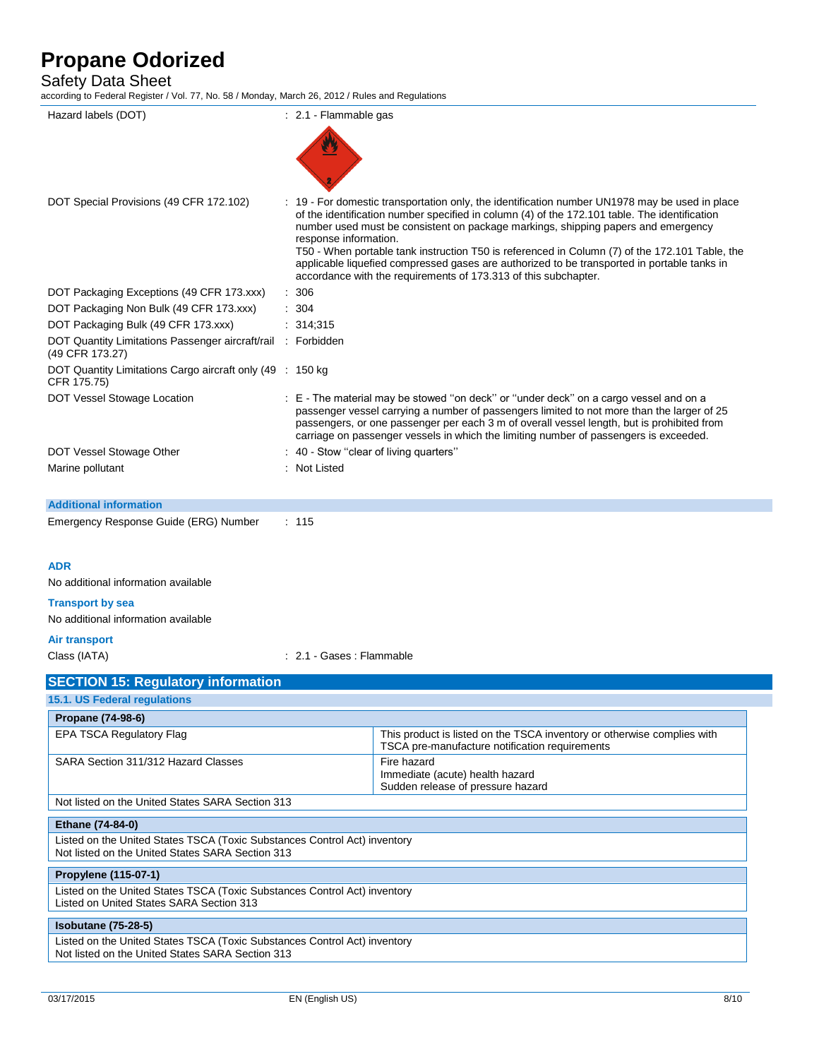# Safety Data Sheet<br>according to Federal Register / \

| Hazard labels (DOT)                                                       | : 2.1 - Flammable gas                                                                                                                                                                                                                                                                                                                                                      |                                                                                                                                                                                                                                                                  |  |  |
|---------------------------------------------------------------------------|----------------------------------------------------------------------------------------------------------------------------------------------------------------------------------------------------------------------------------------------------------------------------------------------------------------------------------------------------------------------------|------------------------------------------------------------------------------------------------------------------------------------------------------------------------------------------------------------------------------------------------------------------|--|--|
|                                                                           |                                                                                                                                                                                                                                                                                                                                                                            |                                                                                                                                                                                                                                                                  |  |  |
|                                                                           |                                                                                                                                                                                                                                                                                                                                                                            |                                                                                                                                                                                                                                                                  |  |  |
| DOT Special Provisions (49 CFR 172.102)                                   |                                                                                                                                                                                                                                                                                                                                                                            | : 19 - For domestic transportation only, the identification number UN1978 may be used in place                                                                                                                                                                   |  |  |
|                                                                           | response information.                                                                                                                                                                                                                                                                                                                                                      | of the identification number specified in column (4) of the 172.101 table. The identification<br>number used must be consistent on package markings, shipping papers and emergency                                                                               |  |  |
|                                                                           |                                                                                                                                                                                                                                                                                                                                                                            | T50 - When portable tank instruction T50 is referenced in Column (7) of the 172.101 Table, the<br>applicable liquefied compressed gases are authorized to be transported in portable tanks in<br>accordance with the requirements of 173.313 of this subchapter. |  |  |
| DOT Packaging Exceptions (49 CFR 173.xxx)                                 | $\therefore$ 306                                                                                                                                                                                                                                                                                                                                                           |                                                                                                                                                                                                                                                                  |  |  |
| DOT Packaging Non Bulk (49 CFR 173.xxx)                                   | : 304                                                                                                                                                                                                                                                                                                                                                                      |                                                                                                                                                                                                                                                                  |  |  |
| DOT Packaging Bulk (49 CFR 173.xxx)                                       | : 314,315                                                                                                                                                                                                                                                                                                                                                                  |                                                                                                                                                                                                                                                                  |  |  |
| DOT Quantity Limitations Passenger aircraft/rail<br>(49 CFR 173.27)       | : Forbidden                                                                                                                                                                                                                                                                                                                                                                |                                                                                                                                                                                                                                                                  |  |  |
| DOT Quantity Limitations Cargo aircraft only (49 : 150 kg)<br>CFR 175.75) |                                                                                                                                                                                                                                                                                                                                                                            |                                                                                                                                                                                                                                                                  |  |  |
| DOT Vessel Stowage Location                                               | : E - The material may be stowed "on deck" or "under deck" on a cargo vessel and on a<br>passenger vessel carrying a number of passengers limited to not more than the larger of 25<br>passengers, or one passenger per each 3 m of overall vessel length, but is prohibited from<br>carriage on passenger vessels in which the limiting number of passengers is exceeded. |                                                                                                                                                                                                                                                                  |  |  |
| DOT Vessel Stowage Other                                                  | 40 - Stow "clear of living quarters"                                                                                                                                                                                                                                                                                                                                       |                                                                                                                                                                                                                                                                  |  |  |
| Marine pollutant                                                          | : Not Listed                                                                                                                                                                                                                                                                                                                                                               |                                                                                                                                                                                                                                                                  |  |  |
| <b>Additional information</b>                                             |                                                                                                                                                                                                                                                                                                                                                                            |                                                                                                                                                                                                                                                                  |  |  |
| Emergency Response Guide (ERG) Number                                     | : 115                                                                                                                                                                                                                                                                                                                                                                      |                                                                                                                                                                                                                                                                  |  |  |
| <b>ADR</b>                                                                |                                                                                                                                                                                                                                                                                                                                                                            |                                                                                                                                                                                                                                                                  |  |  |
| No additional information available                                       |                                                                                                                                                                                                                                                                                                                                                                            |                                                                                                                                                                                                                                                                  |  |  |
| <b>Transport by sea</b>                                                   |                                                                                                                                                                                                                                                                                                                                                                            |                                                                                                                                                                                                                                                                  |  |  |
| No additional information available                                       |                                                                                                                                                                                                                                                                                                                                                                            |                                                                                                                                                                                                                                                                  |  |  |
| <b>Air transport</b>                                                      |                                                                                                                                                                                                                                                                                                                                                                            |                                                                                                                                                                                                                                                                  |  |  |
| Class (IATA)                                                              | : 2.1 - Gases : Flammable                                                                                                                                                                                                                                                                                                                                                  |                                                                                                                                                                                                                                                                  |  |  |
|                                                                           |                                                                                                                                                                                                                                                                                                                                                                            |                                                                                                                                                                                                                                                                  |  |  |
| <b>SECTION 15: Regulatory information</b>                                 |                                                                                                                                                                                                                                                                                                                                                                            |                                                                                                                                                                                                                                                                  |  |  |
| 15.1. US Federal regulations                                              |                                                                                                                                                                                                                                                                                                                                                                            |                                                                                                                                                                                                                                                                  |  |  |
| Propane (74-98-6)                                                         |                                                                                                                                                                                                                                                                                                                                                                            |                                                                                                                                                                                                                                                                  |  |  |
| <b>EPA TSCA Regulatory Flag</b>                                           |                                                                                                                                                                                                                                                                                                                                                                            | This product is listed on the TSCA inventory or otherwise complies with<br>TSCA pre-manufacture notification requirements                                                                                                                                        |  |  |
| SARA Section 311/312 Hazard Classes                                       |                                                                                                                                                                                                                                                                                                                                                                            | Fire hazard                                                                                                                                                                                                                                                      |  |  |

Immediate (acute) health hazard Sudden release of pressure hazard

Not listed on the United States SARA Section 313

## **Ethane (74-84-0)**

Listed on the United States TSCA (Toxic Substances Control Act) inventory Not listed on the United States SARA Section 313

### **Propylene (115-07-1)**

Listed on the United States TSCA (Toxic Substances Control Act) inventory Listed on United States SARA Section 313

### **Isobutane (75-28-5)**

Listed on the United States TSCA (Toxic Substances Control Act) inventory Not listed on the United States SARA Section 313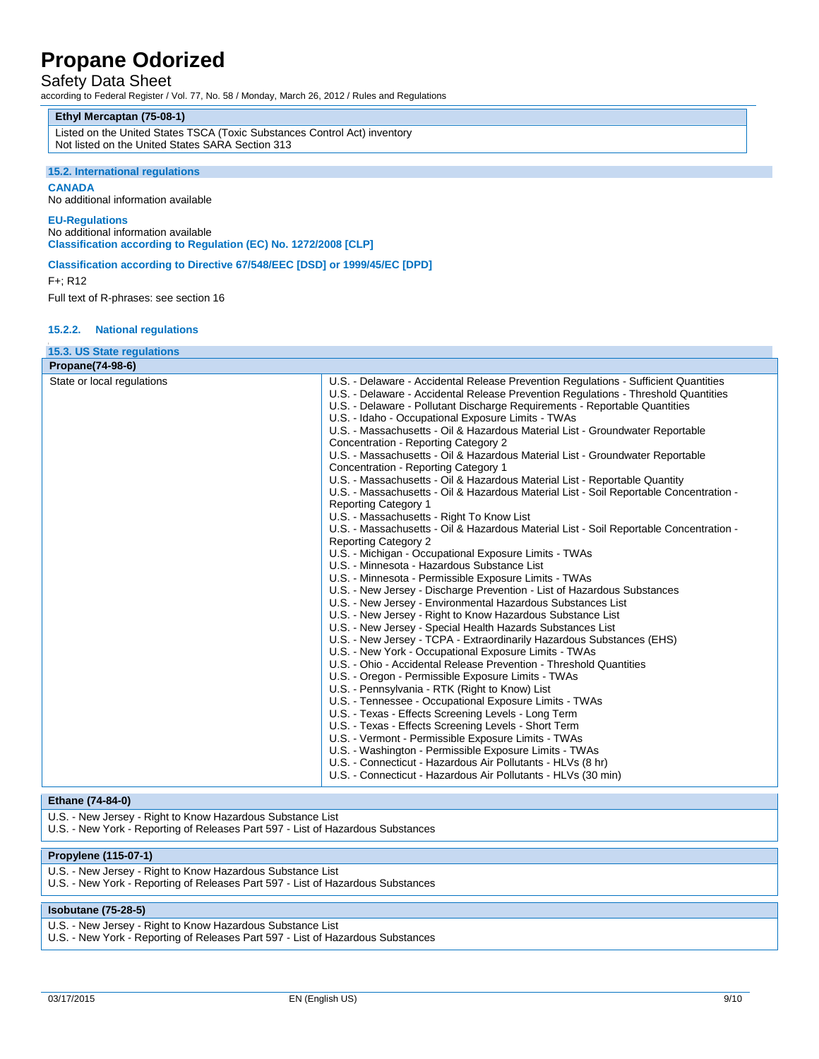## Safety Data Sheet

according to Federal Register / Vol. 77, No. 58 / Monday, March 26, 2012 / Rules and Regulations

### **Ethyl Mercaptan (75-08-1)**

Listed on the United States TSCA (Toxic Substances Control Act) inventory Not listed on the United States SARA Section 313

#### **15.2. International regulations**

**CANADA**

No additional information available

### **EU-Regulations**

No additional information available **Classification according to Regulation (EC) No. 1272/2008 [CLP]**

### **Classification according to Directive 67/548/EEC [DSD] or 1999/45/EC [DPD]**

F+; R12

Full text of R-phrases: see section 16

### **15.2.2. National regulations**

| U.S. - Delaware - Accidental Release Prevention Regulations - Sufficient Quantities<br>U.S. - Delaware - Accidental Release Prevention Regulations - Threshold Quantities<br>U.S. - Delaware - Pollutant Discharge Requirements - Reportable Quantities<br>U.S. - Idaho - Occupational Exposure Limits - TWAs                                                                                                                                                                                                                                                                                                                                                                                                                                                                                                                                                                                                                                                                                                                                                                                                                                                                                                                                                                                                                                                                                                                                                                                                                                                                                                                                                                                                                                                                                                |
|--------------------------------------------------------------------------------------------------------------------------------------------------------------------------------------------------------------------------------------------------------------------------------------------------------------------------------------------------------------------------------------------------------------------------------------------------------------------------------------------------------------------------------------------------------------------------------------------------------------------------------------------------------------------------------------------------------------------------------------------------------------------------------------------------------------------------------------------------------------------------------------------------------------------------------------------------------------------------------------------------------------------------------------------------------------------------------------------------------------------------------------------------------------------------------------------------------------------------------------------------------------------------------------------------------------------------------------------------------------------------------------------------------------------------------------------------------------------------------------------------------------------------------------------------------------------------------------------------------------------------------------------------------------------------------------------------------------------------------------------------------------------------------------------------------------|
|                                                                                                                                                                                                                                                                                                                                                                                                                                                                                                                                                                                                                                                                                                                                                                                                                                                                                                                                                                                                                                                                                                                                                                                                                                                                                                                                                                                                                                                                                                                                                                                                                                                                                                                                                                                                              |
| U.S. - Massachusetts - Oil & Hazardous Material List - Groundwater Reportable<br>Concentration - Reporting Category 2<br>U.S. - Massachusetts - Oil & Hazardous Material List - Groundwater Reportable<br>Concentration - Reporting Category 1<br>U.S. - Massachusetts - Oil & Hazardous Material List - Reportable Quantity<br>U.S. - Massachusetts - Oil & Hazardous Material List - Soil Reportable Concentration -<br><b>Reporting Category 1</b><br>U.S. - Massachusetts - Right To Know List<br>U.S. - Massachusetts - Oil & Hazardous Material List - Soil Reportable Concentration -<br><b>Reporting Category 2</b><br>U.S. - Michigan - Occupational Exposure Limits - TWAs<br>U.S. - Minnesota - Hazardous Substance List<br>U.S. - Minnesota - Permissible Exposure Limits - TWAs<br>U.S. - New Jersey - Discharge Prevention - List of Hazardous Substances<br>U.S. - New Jersey - Environmental Hazardous Substances List<br>U.S. - New Jersey - Right to Know Hazardous Substance List<br>U.S. - New Jersey - Special Health Hazards Substances List<br>U.S. - New Jersey - TCPA - Extraordinarily Hazardous Substances (EHS)<br>U.S. - New York - Occupational Exposure Limits - TWAs<br>U.S. - Ohio - Accidental Release Prevention - Threshold Quantities<br>U.S. - Oregon - Permissible Exposure Limits - TWAs<br>U.S. - Pennsylvania - RTK (Right to Know) List<br>U.S. - Tennessee - Occupational Exposure Limits - TWAs<br>U.S. - Texas - Effects Screening Levels - Long Term<br>U.S. - Texas - Effects Screening Levels - Short Term<br>U.S. - Vermont - Permissible Exposure Limits - TWAs<br>U.S. - Washington - Permissible Exposure Limits - TWAs<br>U.S. - Connecticut - Hazardous Air Pollutants - HLVs (8 hr)<br>U.S. - Connecticut - Hazardous Air Pollutants - HLVs (30 min) |
|                                                                                                                                                                                                                                                                                                                                                                                                                                                                                                                                                                                                                                                                                                                                                                                                                                                                                                                                                                                                                                                                                                                                                                                                                                                                                                                                                                                                                                                                                                                                                                                                                                                                                                                                                                                                              |
|                                                                                                                                                                                                                                                                                                                                                                                                                                                                                                                                                                                                                                                                                                                                                                                                                                                                                                                                                                                                                                                                                                                                                                                                                                                                                                                                                                                                                                                                                                                                                                                                                                                                                                                                                                                                              |

### **Ethane (74-84-0)**

U.S. - New Jersey - Right to Know Hazardous Substance List

U.S. - New York - Reporting of Releases Part 597 - List of Hazardous Substances

### **Propylene (115-07-1)**

- U.S. New Jersey Right to Know Hazardous Substance List
- U.S. New York Reporting of Releases Part 597 List of Hazardous Substances

### **Isobutane (75-28-5)**

- U.S. New Jersey Right to Know Hazardous Substance List
- U.S. New York Reporting of Releases Part 597 List of Hazardous Substances